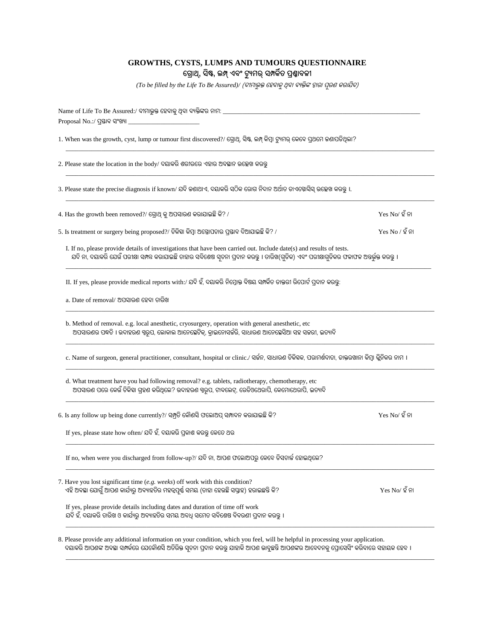## **GROWTHS, CYSTS, LUMPS AND TUMOURS QUESTIONNAIRE ଗ୍ରୋଥ୍, ସିଷ୍ଟ, ଲମ୍ପ୍ଏବଂ ଟ୍ୟୁମର୍ ସମ୍ପର୍କିତ୍ପ୍ରଶ୍ନୋବଳୀ**

 $( To \ be \ filled \ by \ the \ Life \ To \ Be \ Assume) / \ ( \widehat{\alpha} / \widehat{\alpha} / \widehat{\beta} \widehat{\varphi} / \widehat{\alpha} / \widehat{\alpha} \widehat{\varphi} / \widehat{\alpha} / \widehat{\alpha} / \widehat{\beta} \widehat{\alpha})$ 

| Name of Life To Be Assured:/ ବୀମାଭୁକ୍ତ ହେବାକୁ ଥିବା ବ୍ୟକ୍ତିଙ୍କର ନାମ: __________                                                                                                                                                                                     |                   |
|--------------------------------------------------------------------------------------------------------------------------------------------------------------------------------------------------------------------------------------------------------------------|-------------------|
| 1. When was the growth, cyst, lump or tumour first discovered?/ ଗ୍ରୋଥ୍, ସିଷ୍ଟ, ଲମ୍ପ୍ କିମ୍ବା ଟ୍ୟୁମର୍ କେବେ ପ୍ରଥମେ କଶାପଡିଥିଲା?                                                                                                                                        |                   |
| 2. Please state the location in the body/ ଦୟାକରି ଶରୀରରେ ଏହାର ଅବସ୍ଥାନ ଉଲ୍ଲେଖ କରନ୍ତୁ                                                                                                                                                                                 |                   |
| 3. Please state the precise diagnosis if known/ ଯଦି କଣାଥାଏ, ଦୟାକରି ସଠିକ ରୋଗ ନିଦାନ ଅର୍ଥାତ ଡାଏଗ୍ନୋସିସ୍ ଉଲ୍ଲେଖ କରନ୍ତୁ ।.                                                                                                                                              |                   |
| 4. Has the growth been removed?/ ଗ୍ରୋଥ୍ କୁ ଅପସାରଣ କରାଯାଇଛି କି? /                                                                                                                                                                                                   | $Yes No/$ ହ ଁ ନା  |
| 5. Is treatment or surgery being proposed?/ ଚିକିହା କିମ୍ବା ଅସ୍ତୋପଚାର ପ୍ରସ୍ତାବ ଦିଆଯାଇଛି କି? /                                                                                                                                                                        | $Yes No / 2$ ଁ ନା |
| I. If no, please provide details of investigations that have been carried out. Include date(s) and results of tests.<br>ଯଦି ନା, ଦୟାକରି ଯେଉଁ ପରୀକ୍ଷା ସମ୍ପନ୍ନ କରାଯାଇଛି ତାହାର ସବିଶେଷ ସ୍ୱଚନା ପ୍ରଦାନ କରନ୍ତୁ । ତାରିଖ(ଗୁଡିକ) ଏବଂ ପରୀକ୍ଷାଗୁଡିକର ଫଳାଫଳ ଅନ୍ତର୍ଭୁକ୍ତ କରନ୍ତୁ । |                   |
| II. If yes, please provide medical reports with:/ ଯଦି ହଁ, ଦୟାକରି ନିମ୍ନୋକ୍ତ ବିଷୟ ସମ୍ପର୍କିତ ଡାକ୍ତରୀ ରିପୋର୍ଟ ପ୍ରଦାନ କରନ୍ତ:                                                                                                                                            |                   |
| a. Date of removal/ ଅପସାରଣ ହେବା ତାରିଖ                                                                                                                                                                                                                              |                   |
| b. Method of removal. e.g. local anesthetic, cryosurgery, operation with general anesthetic, etc<br>ଅପସାରଣର ପଦ୍ଧତି । ଉଦାହରଣ ସ୍ୱରୂପ, ଲୋକାଲ ଆନେସ୍ଥେଟିକ୍, କ୍ରାଇନୋସର୍ଜରି, ସାଧାରଣ ଆନେସ୍ଥେସିଆ ସହ ସଚ୍ଚରୀ, ଇତ୍ୟାଦି                                                         |                   |
| c. Name of surgeon, general practitioner, consultant, hospital or clinic./ ସର୍କନ, ସାଧାରଶ ଚିକିହକ, ପରାମର୍ଶଦାତା, ଡାକ୍ତରଖାନା କିମ୍ବା କ୍ଲିନିକର ନାମ ।                                                                                                                     |                   |
| d. What treatment have you had following removal? e.g. tablets, radiotherapy, chemotherapy, etc<br>ଅପସାରଣ ପରେ କେଉଁ ଚିକିହା ଗ୍ରହଣ କରିଥିଲେ? ଉଦାହରଣ ସ୍ୱରୂପ, ଟାବଲେଟ୍, ରେଡିଓଥେରାପି, କେମୋଥେରାପି, ଇତ୍ୟାଦି                                                                  |                   |
| 6. Is any follow up being done currently?/ ସମ୍ପ୍ରତି କୌଶସି ଫଲୋଅପ୍ ସମ୍ପାଦନ କରାଯାଇଛି କି?                                                                                                                                                                              | $Yes No/$ ହ ଁ ନା  |
| If yes, please state how often/ ଯଦି ହଁ, ଦୟାକରି ପ୍ରକାଶ କରନ୍ତୁ କେତେ ଥର                                                                                                                                                                                               |                   |
| If no, when were you discharged from follow-up?/ ଯଦି ନା, ଆପଶ ଫଲୋଅପରୁ କେବେ ଡିସଚାର୍କ ହୋଇଥିଲେ?                                                                                                                                                                        |                   |
| 7. Have you lost significant time (e.g. weeks) off work with this condition?<br>ଏହି ଅବସ୍ଥା ଯୋଗୁଁ ଆପଶ କାର୍ଯ୍ୟରୁ ଅବ୍ୟାହତିର ମହତ୍ୱପୂର୍ଷ୍ଣ ସମୟ (ତାହା ହେଉଛି ସପ୍ତାହ) ହରାଇଛନ୍ତି କି?                                                                                        | $Yes No/$ ହ ଁନା   |
| If yes, please provide details including dates and duration of time off work<br>ଯଦି ହଁ, ଦୟାକରି ତାରିଖ ଓ କାର୍ଯ୍ୟରୁ ଅବ୍ୟାହତିର ସମୟ ଅବଧି ସମେତ ସବିଶେଷ ବିବରଣୀ ପ୍ରଦାନ କରନ୍ତୁ ।                                                                                             |                   |
| 8. Please provide any additional information on your condition, which you feel, will be helpful in processing your application.                                                                                                                                    |                   |

ଦୟାକର ଆପଶଙ୍କ ଅବସ୍ଥା ସମ୍ପକରେ ଯେକୋଣସ ଅତରକ୍ତ ସୂଚନା ପ୍ରଦାନ କରନ୍ତୁ ଯାହାକ ଆପଣ ଭାବୁଛନ୍ତ ଆପଶଙ୍କର ଆବେଦନକୁ ପ୍ରୋସେସଂ କରବାରେ ସହାୟକ ହେବ ।

\_\_\_\_\_\_\_\_\_\_\_\_\_\_\_\_\_\_\_\_\_\_\_\_\_\_\_\_\_\_\_\_\_\_\_\_\_\_\_\_\_\_\_\_\_\_\_\_\_\_\_\_\_\_\_\_\_\_\_\_\_\_\_\_\_\_\_\_\_\_\_\_\_\_\_\_\_\_\_\_\_\_\_\_\_\_\_\_\_\_\_\_\_\_\_\_\_\_\_\_\_\_\_\_\_\_\_\_\_\_\_\_\_\_